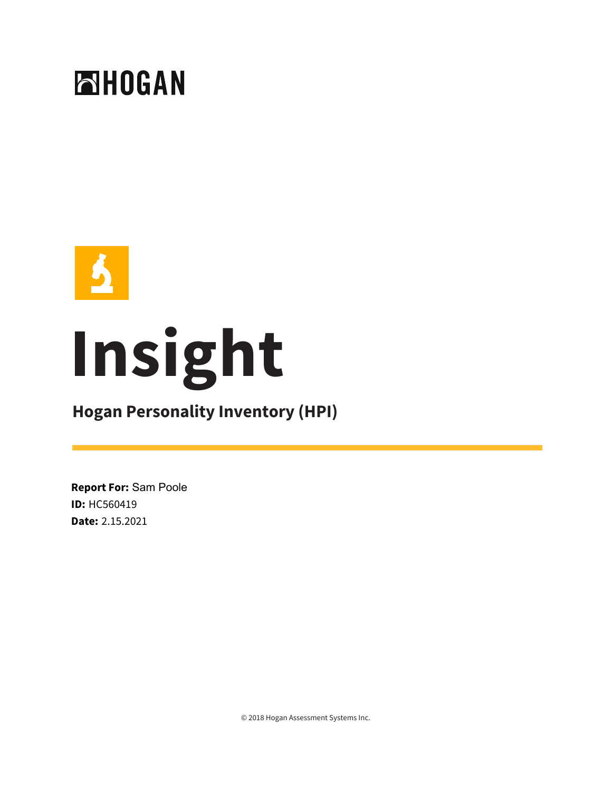



# **Insight**

# **Hogan Personality Inventory (HPI)**

**Report For:** Sam Poole **ID:** HC560419 **Date:** 2.15.2021

© 2018 Hogan Assessment Systems Inc.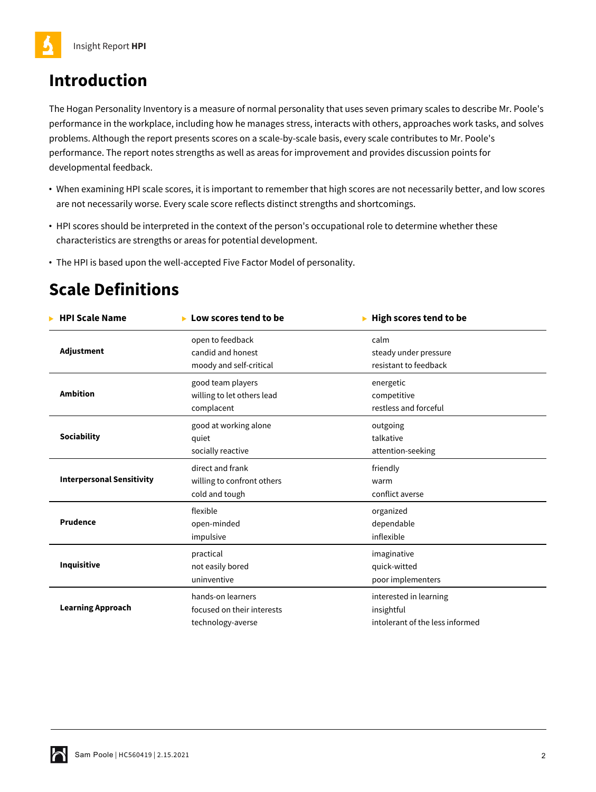# **Introduction**

The Hogan Personality Inventory is a measure of normal personality that uses seven primary scales to describe Mr. Poole's performance in the workplace, including how he manages stress, interacts with others, approaches work tasks, and solves problems. Although the report presents scores on a scale-by-scale basis, every scale contributes to Mr. Poole's performance. The report notes strengths as well as areas for improvement and provides discussion points for developmental feedback.

- **•** When examining HPI scale scores, it is important to remember that high scores are not necessarily better, and low scores are not necessarily worse. Every scale score reflects distinct strengths and shortcomings.
- **•** HPI scores should be interpreted in the context of the person's occupational role to determine whether these characteristics are strengths or areas for potential development.
- **•** The HPI is based upon the well-accepted Five Factor Model of personality.

# **Scale Definitions**

| <b>HPI Scale Name</b>            | Low scores tend to be      | High scores tend to be          |  |
|----------------------------------|----------------------------|---------------------------------|--|
| Adjustment                       | open to feedback           | calm                            |  |
|                                  | candid and honest          | steady under pressure           |  |
|                                  | moody and self-critical    | resistant to feedback           |  |
| <b>Ambition</b>                  | good team players          | energetic                       |  |
|                                  | willing to let others lead | competitive                     |  |
|                                  | complacent                 | restless and forceful           |  |
| <b>Sociability</b>               | good at working alone      | outgoing                        |  |
|                                  | quiet                      | talkative                       |  |
|                                  | socially reactive          | attention-seeking               |  |
| <b>Interpersonal Sensitivity</b> | direct and frank           | friendly                        |  |
|                                  | willing to confront others | warm                            |  |
|                                  | cold and tough             | conflict averse                 |  |
| Prudence                         | flexible                   | organized                       |  |
|                                  | open-minded                | dependable                      |  |
|                                  | impulsive                  | inflexible                      |  |
| Inquisitive                      | practical                  | imaginative                     |  |
|                                  | not easily bored           | quick-witted                    |  |
|                                  | uninventive                | poor implementers               |  |
| <b>Learning Approach</b>         | hands-on learners          | interested in learning          |  |
|                                  | focused on their interests | insightful                      |  |
|                                  | technology-averse          | intolerant of the less informed |  |
|                                  |                            |                                 |  |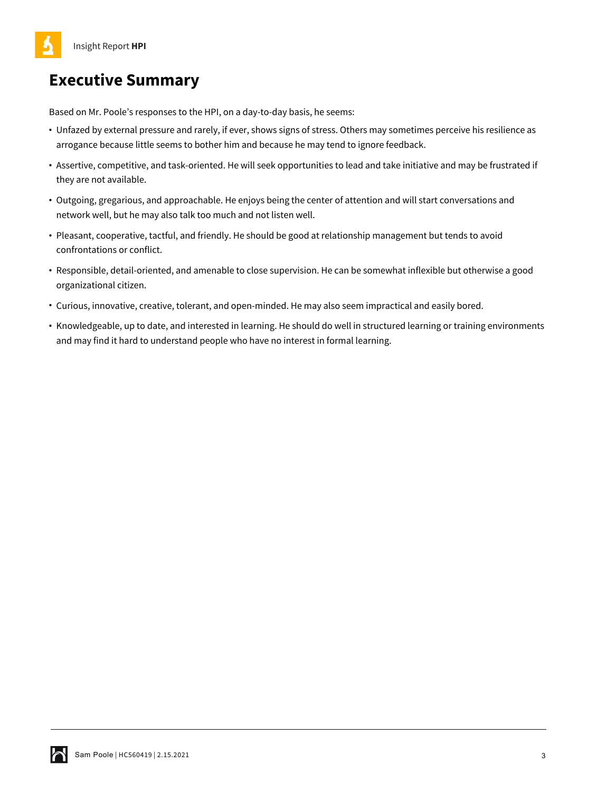# **Executive Summary**

Based on Mr. Poole's responses to the HPI, on a day-to-day basis, he seems:

- **•** Unfazed by external pressure and rarely, if ever, shows signs of stress. Others may sometimes perceive his resilience as arrogance because little seems to bother him and because he may tend to ignore feedback.
- **•** Assertive, competitive, and task-oriented. He will seek opportunities to lead and take initiative and may be frustrated if they are not available.
- **•** Outgoing, gregarious, and approachable. He enjoys being the center of attention and will start conversations and network well, but he may also talk too much and not listen well.
- **•** Pleasant, cooperative, tactful, and friendly. He should be good at relationship management but tends to avoid confrontations or conflict.
- **•** Responsible, detail-oriented, and amenable to close supervision. He can be somewhat inflexible but otherwise a good organizational citizen.
- **•** Curious, innovative, creative, tolerant, and open-minded. He may also seem impractical and easily bored.
- **•** Knowledgeable, up to date, and interested in learning. He should do well in structured learning or training environments and may find it hard to understand people who have no interest in formal learning.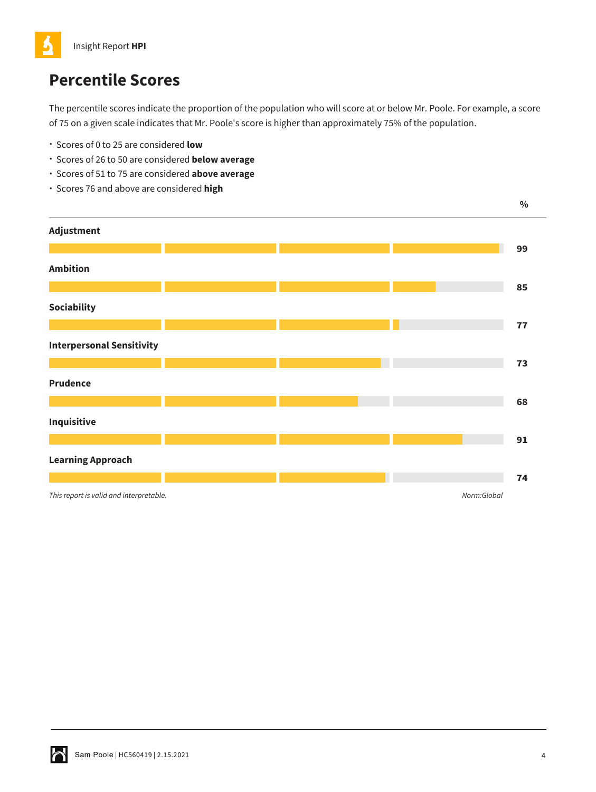

# **Percentile Scores**

The percentile scores indicate the proportion of the population who will score at or below Mr. Poole. For example, a score of 75 on a given scale indicates that Mr. Poole's score is higher than approximately 75% of the population.

- Scores of 0 to 25 are considered **low**
- Scores of 26 to 50 are considered **below average**
- Scores of 51 to 75 are considered **above average**
- Scores 76 and above are considered **high**

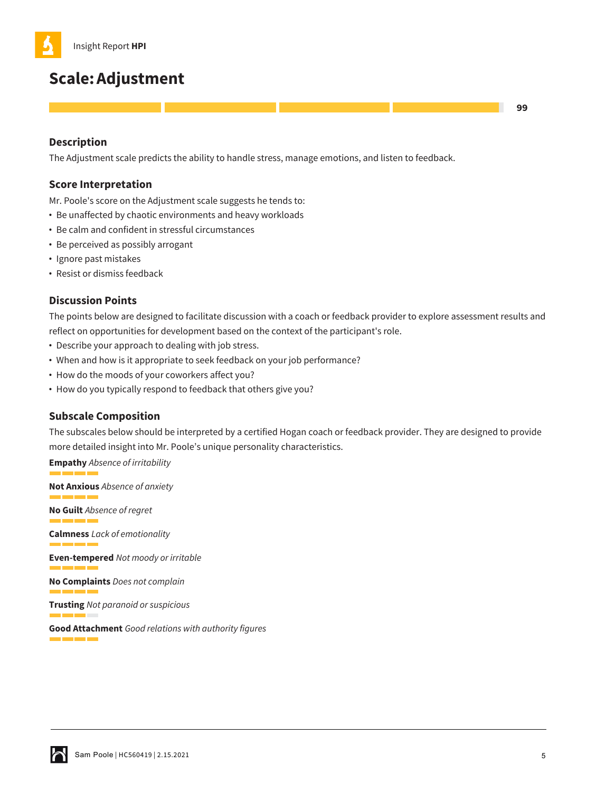# **Scale:Adjustment**

## **Description**

The Adjustment scale predicts the ability to handle stress, manage emotions, and listen to feedback.

## **Score Interpretation**

Mr. Poole's score on the Adjustment scale suggests he tends to:

- **•** Be unaffected by chaotic environments and heavy workloads
- **•** Be calm and confident in stressful circumstances
- **•** Be perceived as possibly arrogant
- **•** Ignore past mistakes
- **•** Resist or dismiss feedback

## **Discussion Points**

The points below are designed to facilitate discussion with a coach or feedback provider to explore assessment results and reflect on opportunities for development based on the context of the participant's role.

- **•** Describe your approach to dealing with job stress.
- **•** When and how is it appropriate to seek feedback on your job performance?
- **•** How do the moods of your coworkers affect you?
- **•** How do you typically respond to feedback that others give you?

## **Subscale Composition**

The subscales below should be interpreted by a certified Hogan coach or feedback provider. They are designed to provide more detailed insight into Mr. Poole's unique personality characteristics.

**Empathy** *Absence of irritability*

**Not Anxious** *Absence of anxiety*

**No Guilt** *Absence of regret*

**Calmness** *Lack of emotionality* <u>a sa Barata</u>

**Even-tempered** *Not moody or irritable* a barat da

**No Complaints** *Does not complain*

**Trusting** *Not paranoid or suspicious*

**Good Attachment** *Good relations with authority figures*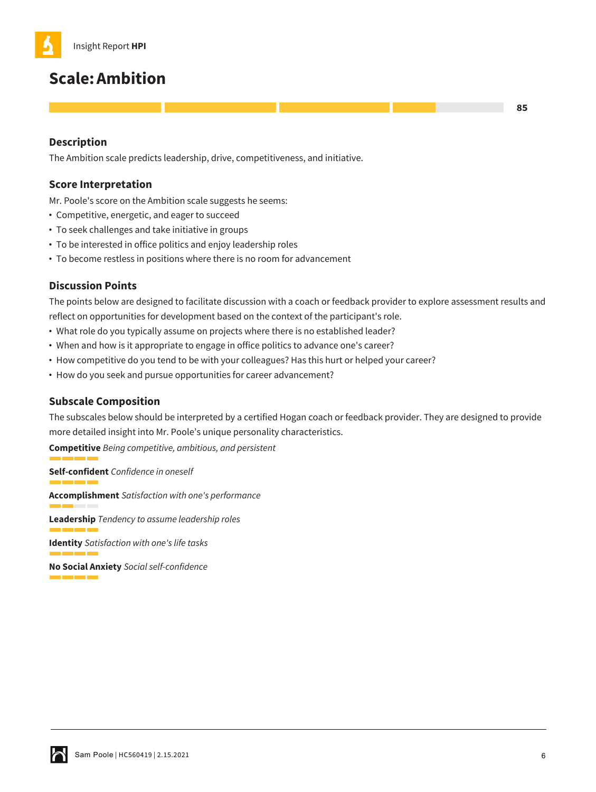

## **Scale:Ambition**

## **Description**

The Ambition scale predicts leadership, drive, competitiveness, and initiative.

## **Score Interpretation**

Mr. Poole's score on the Ambition scale suggests he seems:

- **•** Competitive, energetic, and eager to succeed
- **•** To seek challenges and take initiative in groups
- **•** To be interested in office politics and enjoy leadership roles
- **•** To become restless in positions where there is no room for advancement

## **Discussion Points**

The points below are designed to facilitate discussion with a coach or feedback provider to explore assessment results and reflect on opportunities for development based on the context of the participant's role.

- **•** What role do you typically assume on projects where there is no established leader?
- **•** When and how is it appropriate to engage in office politics to advance one's career?
- **•** How competitive do you tend to be with your colleagues? Has this hurt or helped your career?
- **•** How do you seek and pursue opportunities for career advancement?

## **Subscale Composition**

The subscales below should be interpreted by a certified Hogan coach or feedback provider. They are designed to provide more detailed insight into Mr. Poole's unique personality characteristics.

**Competitive** *Being competitive, ambitious, and persistent*

**Self-confident** *Confidence in oneself* and the contract of the contract of **Accomplishment** *Satisfaction with one's performance* **Leadership** *Tendency to assume leadership roles* **Identity** *Satisfaction with one's life tasks* **No Social Anxiety** *Social self-confidence*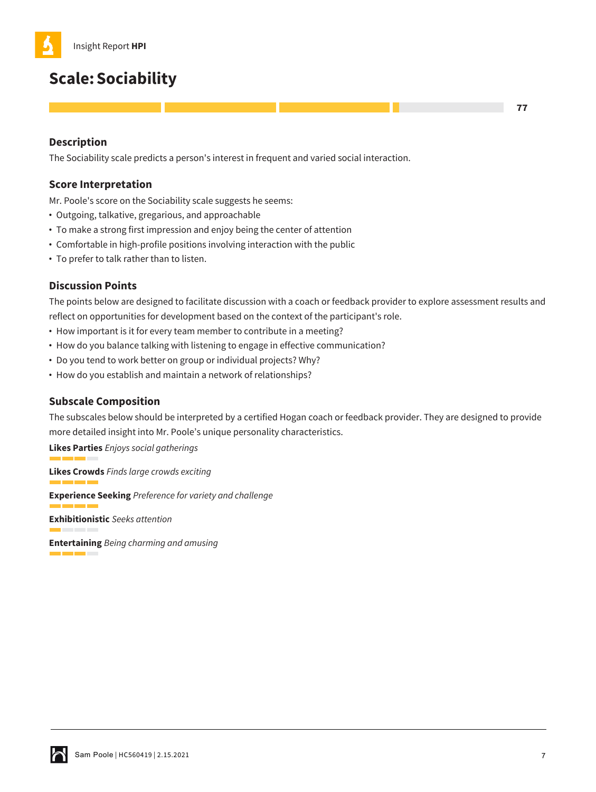# **Scale:Sociability**

## **Description**

The Sociability scale predicts a person's interest in frequent and varied social interaction.

## **Score Interpretation**

Mr. Poole's score on the Sociability scale suggests he seems:

- **•** Outgoing, talkative, gregarious, and approachable
- **•** To make a strong first impression and enjoy being the center of attention
- **•** Comfortable in high-profile positions involving interaction with the public
- **•** To prefer to talk rather than to listen.

## **Discussion Points**

The points below are designed to facilitate discussion with a coach or feedback provider to explore assessment results and reflect on opportunities for development based on the context of the participant's role.

- **•** How important is it for every team member to contribute in a meeting?
- **•** How do you balance talking with listening to engage in effective communication?
- **•** Do you tend to work better on group or individual projects? Why?
- **•** How do you establish and maintain a network of relationships?

## **Subscale Composition**

The subscales below should be interpreted by a certified Hogan coach or feedback provider. They are designed to provide more detailed insight into Mr. Poole's unique personality characteristics.

**Likes Parties** *Enjoys social gatherings*

**Likes Crowds** *Finds large crowds exciting*

**Experience Seeking** *Preference for variety and challenge*

**Exhibitionistic** *Seeks attention*

**Entertaining** *Being charming and amusing*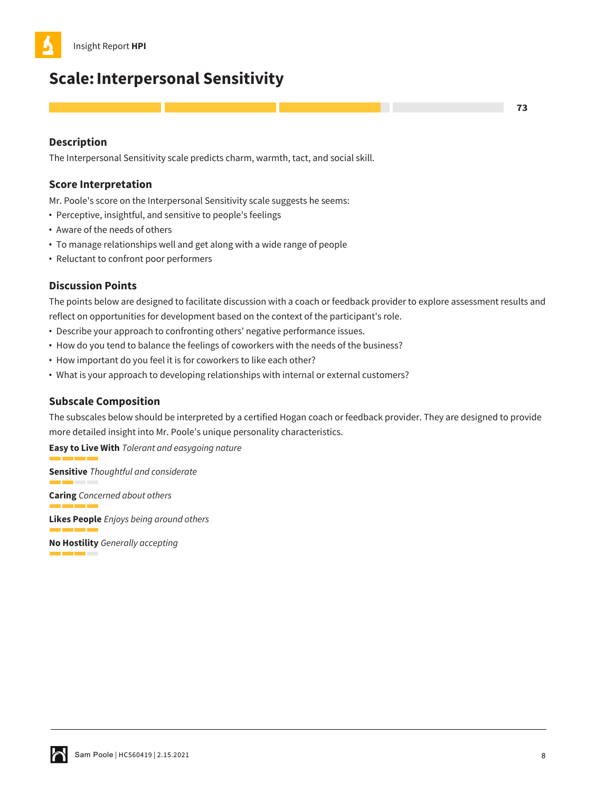

## **Scale:Interpersonal Sensitivity**

**Description**

The Interpersonal Sensitivity scale predicts charm, warmth, tact, and social skill.

## **Score Interpretation**

Mr. Poole's score on the Interpersonal Sensitivity scale suggests he seems:

- **•** Perceptive, insightful, and sensitive to people's feelings
- **•** Aware of the needs of others
- **•** To manage relationships well and get along with a wide range of people
- **•** Reluctant to confront poor performers

## **Discussion Points**

The points below are designed to facilitate discussion with a coach or feedback provider to explore assessment results and reflect on opportunities for development based on the context of the participant's role.

- **•** Describe your approach to confronting others' negative performance issues.
- **•** How do you tend to balance the feelings of coworkers with the needs of the business?
- **•** How important do you feel it is for coworkers to like each other?
- **•** What is your approach to developing relationships with internal or external customers?

## **Subscale Composition**

The subscales below should be interpreted by a certified Hogan coach or feedback provider. They are designed to provide more detailed insight into Mr. Poole's unique personality characteristics.

**Easy to Live With** *Tolerant and easygoing nature*

**Sensitive** *Thoughtful and considerate* a sa sala

**Caring** *Concerned about others*

**Likes People** *Enjoys being around others*

**No Hostility** *Generally accepting* m.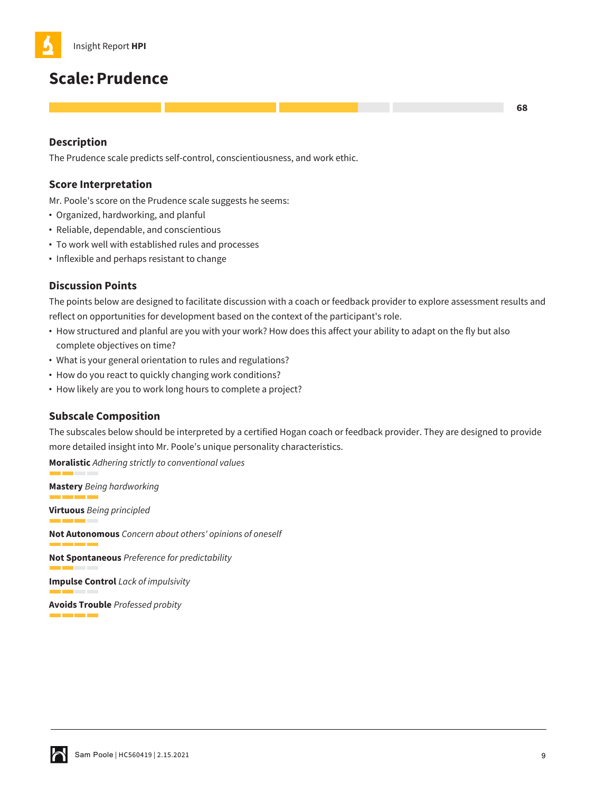

## **Scale:Prudence**

## **Description**

The Prudence scale predicts self-control, conscientiousness, and work ethic.

## **Score Interpretation**

Mr. Poole's score on the Prudence scale suggests he seems:

- **•** Organized, hardworking, and planful
- **•** Reliable, dependable, and conscientious
- **•** To work well with established rules and processes
- **•** Inflexible and perhaps resistant to change

## **Discussion Points**

The points below are designed to facilitate discussion with a coach or feedback provider to explore assessment results and reflect on opportunities for development based on the context of the participant's role.

- **•** How structured and planful are you with your work? How does this affect your ability to adapt on the fly but also complete objectives on time?
- **•** What is your general orientation to rules and regulations?
- **•** How do you react to quickly changing work conditions?
- **•** How likely are you to work long hours to complete a project?

## **Subscale Composition**

The subscales below should be interpreted by a certified Hogan coach or feedback provider. They are designed to provide more detailed insight into Mr. Poole's unique personality characteristics.

**Moralistic** *Adhering strictly to conventional values*

**Mastery** *Being hardworking* **Virtuous** *Being principled* **Not Autonomous** *Concern about others' opinions of oneself* <u> 1999 - 1999 - 1999 - 1999 - 1999 - 1999 - 1999 - 1999 - 1999 - 1999 - 1999 - 1999 - 1999 - 1999 - 1999 - 199</u>

**Not Spontaneous** *Preference for predictability*

**Impulse Control** *Lack of impulsivity*

**Avoids Trouble** *Professed probity* a matang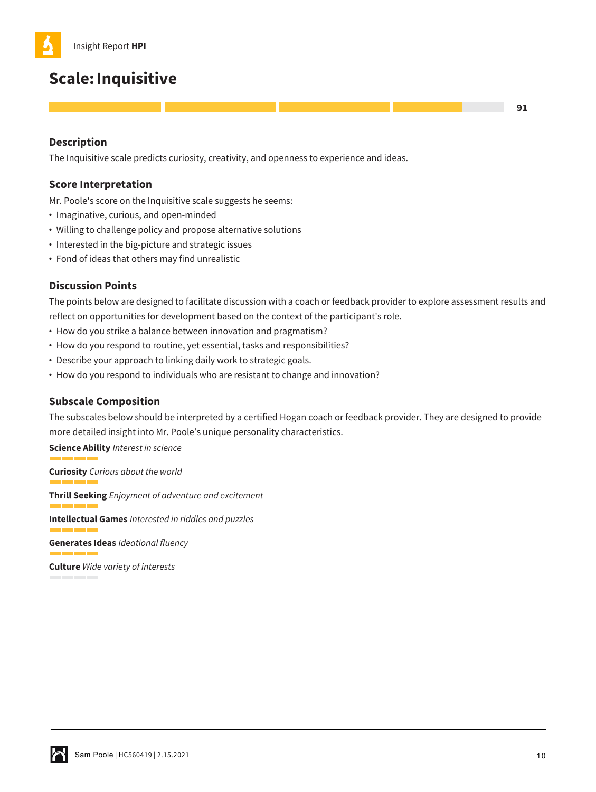# **Scale:Inquisitive**

## **Description**

The Inquisitive scale predicts curiosity, creativity, and openness to experience and ideas.

## **Score Interpretation**

Mr. Poole's score on the Inquisitive scale suggests he seems:

- **•** Imaginative, curious, and open-minded
- **•** Willing to challenge policy and propose alternative solutions
- **•** Interested in the big-picture and strategic issues
- **•** Fond of ideas that others may find unrealistic

## **Discussion Points**

The points below are designed to facilitate discussion with a coach or feedback provider to explore assessment results and reflect on opportunities for development based on the context of the participant's role.

- **•** How do you strike a balance between innovation and pragmatism?
- **•** How do you respond to routine, yet essential, tasks and responsibilities?
- **•** Describe your approach to linking daily work to strategic goals.
- **•** How do you respond to individuals who are resistant to change and innovation?

## **Subscale Composition**

The subscales below should be interpreted by a certified Hogan coach or feedback provider. They are designed to provide more detailed insight into Mr. Poole's unique personality characteristics.

**Science Ability** *Interest in science*

**Curiosity** *Curious about the world* **The Common Thrill Seeking** *Enjoyment of adventure and excitement* **Intellectual Games** *Interested in riddles and puzzles* 

**Generates Ideas** *Ideational fluency*

**Culture** *Wide variety of interests*